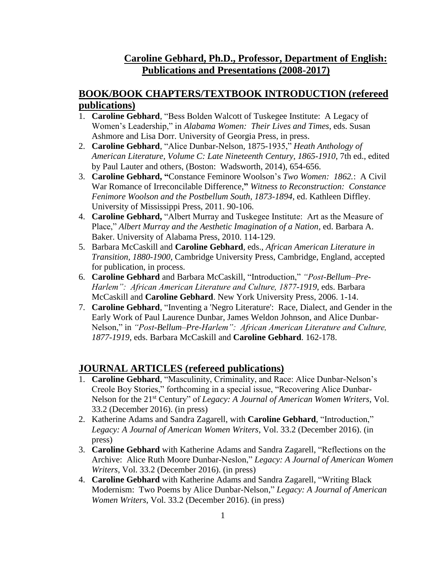## **Caroline Gebhard, Ph.D., Professor, Department of English: Publications and Presentations (2008-2017)**

## **BOOK/BOOK CHAPTERS/TEXTBOOK INTRODUCTION (refereed publications)**

- 1. **Caroline Gebhard**, "Bess Bolden Walcott of Tuskegee Institute: A Legacy of Women's Leadership," in *Alabama Women: Their Lives and Times*, eds. Susan Ashmore and Lisa Dorr. University of Georgia Press, in press.
- 2. **Caroline Gebhard**, "Alice Dunbar-Nelson, 1875-1935," *Heath Anthology of American Literature, Volume C: Late Nineteenth Century, 1865-1910*, 7th ed., edited by Paul Lauter and others, (Boston: Wadsworth, 2014), 654-656.
- 3. **Caroline Gebhard, "**Constance Feminore Woolson's *Two Women: 1862.*: A Civil War Romance of Irreconcilable Difference,**"** *Witness to Reconstruction: Constance Fenimore Woolson and the Postbellum South, 1873-1894*, ed. Kathleen Diffley. University of Mississippi Press, 2011. 90-106.
- 4. **Caroline Gebhard,** "Albert Murray and Tuskegee Institute: Art as the Measure of Place," *Albert Murray and the Aesthetic Imagination of a Nation*, ed. Barbara A. Baker. University of Alabama Press, 2010. 114-129.
- 5. Barbara McCaskill and **Caroline Gebhard**, eds., *African American Literature in Transition, 1880-1900*, Cambridge University Press, Cambridge, England, accepted for publication, in process.
- 6. **Caroline Gebhard** and Barbara McCaskill, "Introduction," *"Post-Bellum–Pre-Harlem": African American Literature and Culture, 1877-1919*, eds. Barbara McCaskill and **Caroline Gebhard**. New York University Press, 2006. 1-14.
- 7. **Caroline Gebhard**, "Inventing a 'Negro Literature': Race, Dialect, and Gender in the Early Work of Paul Laurence Dunbar, James Weldon Johnson, and Alice Dunbar-Nelson," in *"Post-Bellum–Pre-Harlem": African American Literature and Culture, 1877-1919*, eds. Barbara McCaskill and **Caroline Gebhard**. 162-178.

### **JOURNAL ARTICLES (refereed publications)**

- 1. **Caroline Gebhard**, "Masculinity, Criminality, and Race: Alice Dunbar-Nelson's Creole Boy Stories," forthcoming in a special issue, "Recovering Alice Dunbar-Nelson for the 21st Century" of *Legacy: A Journal of American Women Writers*, Vol. 33.2 (December 2016). (in press)
- 2. Katherine Adams and Sandra Zagarell, with **Caroline Gebhard**, "Introduction," *Legacy: A Journal of American Women Writers*, Vol. 33.2 (December 2016). (in press)
- 3. **Caroline Gebhard** with Katherine Adams and Sandra Zagarell, "Reflections on the Archive: Alice Ruth Moore Dunbar-Neslon," *Legacy: A Journal of American Women Writers*, Vol. 33.2 (December 2016). (in press)
- 4. **Caroline Gebhard** with Katherine Adams and Sandra Zagarell, "Writing Black Modernism: Two Poems by Alice Dunbar-Nelson," *Legacy: A Journal of American Women Writers*, Vol. 33.2 (December 2016). (in press)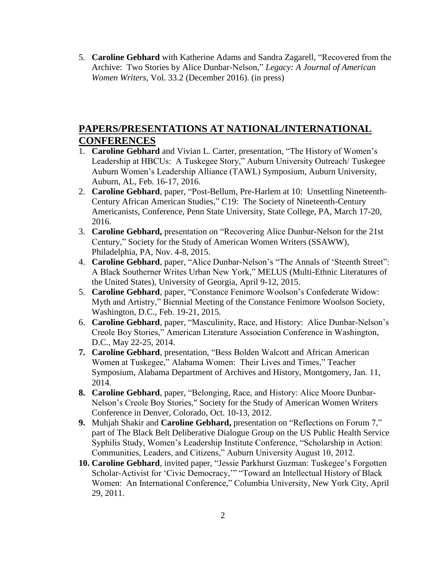5. **Caroline Gebhard** with Katherine Adams and Sandra Zagarell, "Recovered from the Archive: Two Stories by Alice Dunbar-Nelson," *Legacy: A Journal of American Women Writers*, Vol. 33.2 (December 2016). (in press)

# **PAPERS/PRESENTATIONS AT NATIONAL/INTERNATIONAL CONFERENCES**

- 1. **Caroline Gebhard** and Vivian L. Carter, presentation, "The History of Women's Leadership at HBCUs: A Tuskegee Story," Auburn University Outreach/ Tuskegee Auburn Women's Leadership Alliance (TAWL) Symposium, Auburn University, Auburn, AL, Feb. 16-17, 2016.
- 2. **Caroline Gebhard**, paper, "Post-Bellum, Pre-Harlem at 10: Unsettling Nineteenth-Century African American Studies," C19: The Society of Nineteenth-Century Americanists, Conference, Penn State University, State College, PA, March 17-20, 2016.
- 3. **Caroline Gebhard,** presentation on "Recovering Alice Dunbar-Nelson for the 21st Century," Society for the Study of American Women Writers (SSAWW), Philadelphia, PA, Nov. 4-8, 2015.
- 4. **Caroline Gebhard**, paper, "Alice Dunbar-Nelson's "The Annals of 'Steenth Street": A Black Southerner Writes Urban New York," MELUS (Multi-Ethnic Literatures of the United States), University of Georgia, April 9-12, 2015.
- 5. **Caroline Gebhard**, paper, "Constance Fenimore Woolson's Confederate Widow: Myth and Artistry," Biennial Meeting of the Constance Fenimore Woolson Society, Washington, D.C., Feb. 19-21, 2015.
- 6. **Caroline Gebhard**, paper, "Masculinity, Race, and History: Alice Dunbar-Nelson's Creole Boy Stories," American Literature Association Conference in Washington, D.C., May 22-25, 2014.
- **7. Caroline Gebhard**, presentation, "Bess Bolden Walcott and African American Women at Tuskegee," Alabama Women: Their Lives and Times," Teacher Symposium, Alabama Department of Archives and History, Montgomery, Jan. 11, 2014.
- **8. Caroline Gebhard**, paper, "Belonging, Race, and History: Alice Moore Dunbar-Nelson's Creole Boy Stories," Society for the Study of American Women Writers Conference in Denver, Colorado, Oct. 10-13, 2012.
- **9.** Muhjah Shakir and **Caroline Gebhard,** presentation on "Reflections on Forum 7," part of The Black Belt Deliberative Dialogue Group on the US Public Health Service Syphilis Study, Women's Leadership Institute Conference, "Scholarship in Action: Communities, Leaders, and Citizens," Auburn University August 10, 2012.
- **10. Caroline Gebhard**, invited paper, "Jessie Parkhurst Guzman: Tuskegee's Forgotten Scholar-Activist for 'Civic Democracy,'" "Toward an Intellectual History of Black Women: An International Conference," Columbia University, New York City, April 29, 2011.